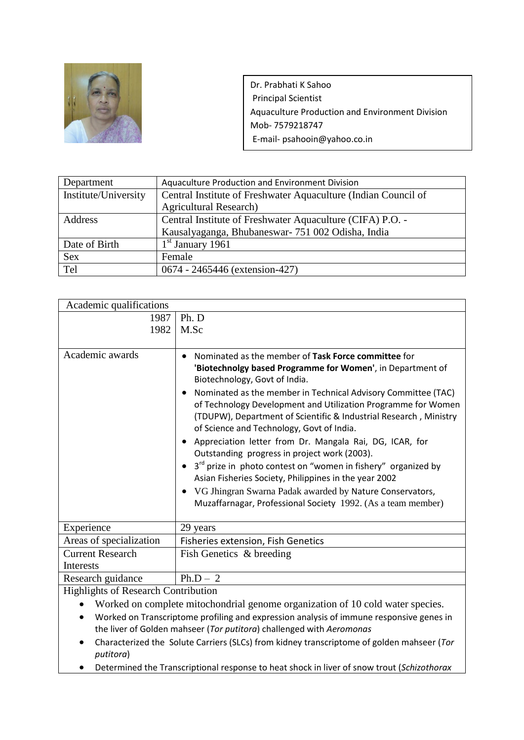

Dr. Prabhati K Sahoo Principal Scientist Aquaculture Production and Environment Division Mob- 7579218747 E-mail- psahooin@yahoo.co.in

| Department           | Aquaculture Production and Environment Division                |
|----------------------|----------------------------------------------------------------|
| Institute/University | Central Institute of Freshwater Aquaculture (Indian Council of |
|                      | <b>Agricultural Research)</b>                                  |
| Address              | Central Institute of Freshwater Aquaculture (CIFA) P.O. -      |
|                      | Kausalyaganga, Bhubaneswar- 751 002 Odisha, India              |
| Date of Birth        | $1st$ January 1961                                             |
| <b>Sex</b>           | Female                                                         |
| Tel                  | 0674 - 2465446 (extension-427)                                 |

| Academic qualifications              |                                                                                                                                                                                                                                                  |  |
|--------------------------------------|--------------------------------------------------------------------------------------------------------------------------------------------------------------------------------------------------------------------------------------------------|--|
| 1987                                 | Ph. D                                                                                                                                                                                                                                            |  |
| 1982                                 | M.Sc                                                                                                                                                                                                                                             |  |
|                                      |                                                                                                                                                                                                                                                  |  |
| Academic awards                      | Nominated as the member of Task Force committee for<br>'Biotechnolgy based Programme for Women', in Department of<br>Biotechnology, Govt of India.                                                                                               |  |
|                                      | Nominated as the member in Technical Advisory Committee (TAC)<br>of Technology Development and Utilization Programme for Women<br>(TDUPW), Department of Scientific & Industrial Research, Ministry<br>of Science and Technology, Govt of India. |  |
|                                      | Appreciation letter from Dr. Mangala Rai, DG, ICAR, for<br>Outstanding progress in project work (2003).                                                                                                                                          |  |
|                                      | 3 <sup>rd</sup> prize in photo contest on "women in fishery" organized by<br>Asian Fisheries Society, Philippines in the year 2002                                                                                                               |  |
|                                      | VG Jhingran Swarna Padak awarded by Nature Conservators,<br>Muzaffarnagar, Professional Society 1992. (As a team member)                                                                                                                         |  |
| Experience                           | 29 years                                                                                                                                                                                                                                         |  |
| Areas of specialization              | Fisheries extension, Fish Genetics                                                                                                                                                                                                               |  |
| <b>Current Research</b><br>Interests | Fish Genetics & breeding                                                                                                                                                                                                                         |  |
| Research guidance                    | $Ph.D - 2$                                                                                                                                                                                                                                       |  |
| Highlights of Research Contribution  |                                                                                                                                                                                                                                                  |  |

Highlights of Research Contribution

- Worked on complete mitochondrial genome organization of 10 cold water species.
- Worked on Transcriptome profiling and expression analysis of immune responsive genes in the liver of Golden mahseer (*Tor putitora*) challenged with *Aeromonas*
- Characterized the Solute Carriers (SLCs) from kidney transcriptome of golden mahseer (*Tor putitora*)
- Determined the Transcriptional response to heat shock in liver of snow trout (*Schizothorax*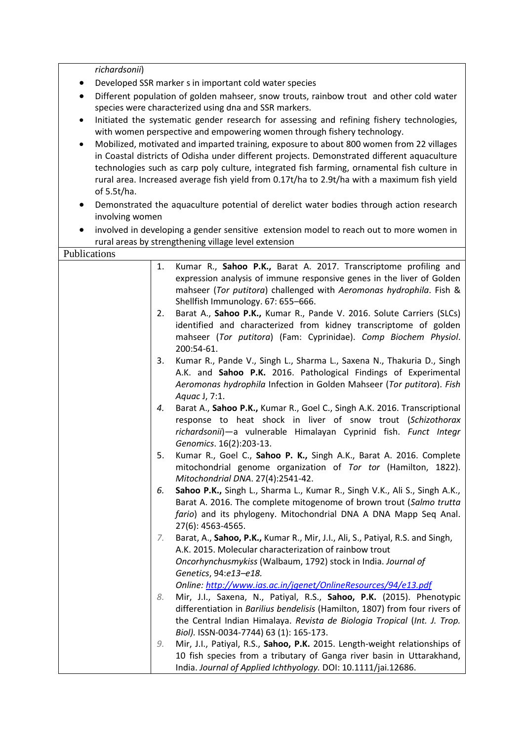*richardsonii*)

- Developed SSR marker s in important cold water species
- Different population of golden mahseer, snow trouts, rainbow trout and other cold water species were characterized using dna and SSR markers.
- Initiated the systematic gender research for assessing and refining fishery technologies, with women perspective and empowering women through fishery technology.
- Mobilized, motivated and imparted training, exposure to about 800 women from 22 villages in Coastal districts of Odisha under different projects. Demonstrated different aquaculture technologies such as carp poly culture, integrated fish farming, ornamental fish culture in rural area. Increased average fish yield from 0.17t/ha to 2.9t/ha with a maximum fish yield of 5.5t/ha.
- Demonstrated the aquaculture potential of derelict water bodies through action research involving women
- involved in developing a gender sensitive extension model to reach out to more women in rural areas by strengthening village level extension

| Publications |                                                                                                                                                                                                                                                                                  |
|--------------|----------------------------------------------------------------------------------------------------------------------------------------------------------------------------------------------------------------------------------------------------------------------------------|
|              | Kumar R., Sahoo P.K., Barat A. 2017. Transcriptome profiling and<br>1.<br>expression analysis of immune responsive genes in the liver of Golden<br>mahseer (Tor putitora) challenged with Aeromonas hydrophila. Fish &<br>Shellfish Immunology. 67: 655-666.                     |
|              | Barat A., Sahoo P.K., Kumar R., Pande V. 2016. Solute Carriers (SLCs)<br>2.<br>identified and characterized from kidney transcriptome of golden<br>mahseer (Tor putitora) (Fam: Cyprinidae). Comp Biochem Physiol.<br>200:54-61.                                                 |
|              | Kumar R., Pande V., Singh L., Sharma L., Saxena N., Thakuria D., Singh<br>3.<br>A.K. and Sahoo P.K. 2016. Pathological Findings of Experimental<br>Aeromonas hydrophila Infection in Golden Mahseer (Tor putitora). Fish<br>Aquac J, 7:1.                                        |
|              | Barat A., Sahoo P.K., Kumar R., Goel C., Singh A.K. 2016. Transcriptional<br>4.<br>response to heat shock in liver of snow trout (Schizothorax<br>richardsonii)-a vulnerable Himalayan Cyprinid fish. Funct Integr<br>Genomics. 16(2):203-13.                                    |
|              | Kumar R., Goel C., Sahoo P. K., Singh A.K., Barat A. 2016. Complete<br>5.<br>mitochondrial genome organization of Tor tor (Hamilton, 1822).<br>Mitochondrial DNA. 27(4):2541-42.                                                                                                 |
|              | Sahoo P.K., Singh L., Sharma L., Kumar R., Singh V.K., Ali S., Singh A.K.,<br>6.<br>Barat A. 2016. The complete mitogenome of brown trout (Salmo trutta<br>fario) and its phylogeny. Mitochondrial DNA A DNA Mapp Seq Anal.<br>27(6): 4563-4565.                                 |
|              | Barat, A., Sahoo, P.K., Kumar R., Mir, J.I., Ali, S., Patiyal, R.S. and Singh,<br>7.<br>A.K. 2015. Molecular characterization of rainbow trout<br>Oncorhynchusmykiss (Walbaum, 1792) stock in India. Journal of<br>Genetics, 94:e13-e18.                                         |
|              | Online: http://www.ias.ac.in/jgenet/OnlineResources/94/e13.pdf                                                                                                                                                                                                                   |
|              | Mir, J.I., Saxena, N., Patiyal, R.S., Sahoo, P.K. (2015). Phenotypic<br>8.<br>differentiation in Barilius bendelisis (Hamilton, 1807) from four rivers of<br>the Central Indian Himalaya. Revista de Biologia Tropical (Int. J. Trop.<br>Biol). ISSN-0034-7744) 63 (1): 165-173. |
|              | Mir, J.I., Patiyal, R.S., Sahoo, P.K. 2015. Length-weight relationships of<br>9.                                                                                                                                                                                                 |
|              | 10 fish species from a tributary of Ganga river basin in Uttarakhand,<br>India. Journal of Applied Ichthyology. DOI: 10.1111/jai.12686.                                                                                                                                          |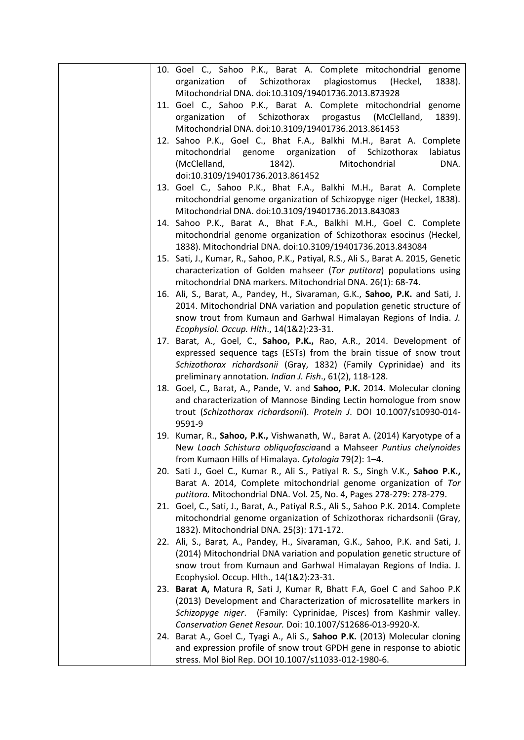| 10. Goel C., Sahoo P.K., Barat A. Complete mitochondrial genome                       |
|---------------------------------------------------------------------------------------|
| organization<br>of<br>Schizothorax<br>plagiostomus<br>(Heckel,<br>1838).              |
| Mitochondrial DNA. doi:10.3109/19401736.2013.873928                                   |
| 11. Goel C., Sahoo P.K., Barat A. Complete mitochondrial genome                       |
| of<br>Schizothorax<br>1839).<br>organization<br>progastus<br>(McClelland,             |
| Mitochondrial DNA. doi:10.3109/19401736.2013.861453                                   |
| 12. Sahoo P.K., Goel C., Bhat F.A., Balkhi M.H., Barat A. Complete                    |
| mitochondrial genome organization of Schizothorax<br>labiatus                         |
| (McClelland,<br>Mitochondrial<br>DNA.<br>1842).                                       |
| doi:10.3109/19401736.2013.861452                                                      |
| 13. Goel C., Sahoo P.K., Bhat F.A., Balkhi M.H., Barat A. Complete                    |
| mitochondrial genome organization of Schizopyge niger (Heckel, 1838).                 |
| Mitochondrial DNA. doi:10.3109/19401736.2013.843083                                   |
| 14. Sahoo P.K., Barat A., Bhat F.A., Balkhi M.H., Goel C. Complete                    |
| mitochondrial genome organization of Schizothorax esocinus (Heckel,                   |
| 1838). Mitochondrial DNA. doi:10.3109/19401736.2013.843084                            |
| 15. Sati, J., Kumar, R., Sahoo, P.K., Patiyal, R.S., Ali S., Barat A. 2015, Genetic   |
| characterization of Golden mahseer (Tor putitora) populations using                   |
| mitochondrial DNA markers. Mitochondrial DNA. 26(1): 68-74.                           |
| 16. Ali, S., Barat, A., Pandey, H., Sivaraman, G.K., Sahoo, P.K. and Sati, J.         |
| 2014. Mitochondrial DNA variation and population genetic structure of                 |
| snow trout from Kumaun and Garhwal Himalayan Regions of India. J.                     |
| Ecophysiol. Occup. Hlth., 14(1&2):23-31.                                              |
| 17. Barat, A., Goel, C., Sahoo, P.K., Rao, A.R., 2014. Development of                 |
| expressed sequence tags (ESTs) from the brain tissue of snow trout                    |
| Schizothorax richardsonii (Gray, 1832) (Family Cyprinidae) and its                    |
| preliminary annotation. Indian J. Fish., 61(2), 118-128.                              |
| 18. Goel, C., Barat, A., Pande, V. and Sahoo, P.K. 2014. Molecular cloning            |
| and characterization of Mannose Binding Lectin homologue from snow                    |
| trout (Schizothorax richardsonii). Protein J. DOI 10.1007/s10930-014-                 |
| 9591-9                                                                                |
| 19. Kumar, R., Sahoo, P.K., Vishwanath, W., Barat A. (2014) Karyotype of a            |
| New Loach Schistura obliquofasciaand a Mahseer Puntius chelynoides                    |
| from Kumaon Hills of Himalaya. Cytologia 79(2): 1–4.                                  |
| 20. Sati J., Goel C., Kumar R., Ali S., Patiyal R. S., Singh V.K., Sahoo P.K.,        |
| Barat A. 2014, Complete mitochondrial genome organization of Tor                      |
| putitora. Mitochondrial DNA. Vol. 25, No. 4, Pages 278-279: 278-279.                  |
| Goel, C., Sati, J., Barat, A., Patiyal R.S., Ali S., Sahoo P.K. 2014. Complete<br>21. |
| mitochondrial genome organization of Schizothorax richardsonii (Gray,                 |
| 1832). Mitochondrial DNA. 25(3): 171-172.                                             |
| 22. Ali, S., Barat, A., Pandey, H., Sivaraman, G.K., Sahoo, P.K. and Sati, J.         |
| (2014) Mitochondrial DNA variation and population genetic structure of                |
| snow trout from Kumaun and Garhwal Himalayan Regions of India. J.                     |
| Ecophysiol. Occup. Hlth., 14(1&2):23-31.                                              |
| 23. Barat A, Matura R, Sati J, Kumar R, Bhatt F.A, Goel C and Sahoo P.K               |
| (2013) Development and Characterization of microsatellite markers in                  |
| Schizopyge niger. (Family: Cyprinidae, Pisces) from Kashmir valley.                   |
| Conservation Genet Resour. Doi: 10.1007/S12686-013-9920-X.                            |
| 24. Barat A., Goel C., Tyagi A., Ali S., Sahoo P.K. (2013) Molecular cloning          |
| and expression profile of snow trout GPDH gene in response to abiotic                 |
| stress. Mol Biol Rep. DOI 10.1007/s11033-012-1980-6.                                  |